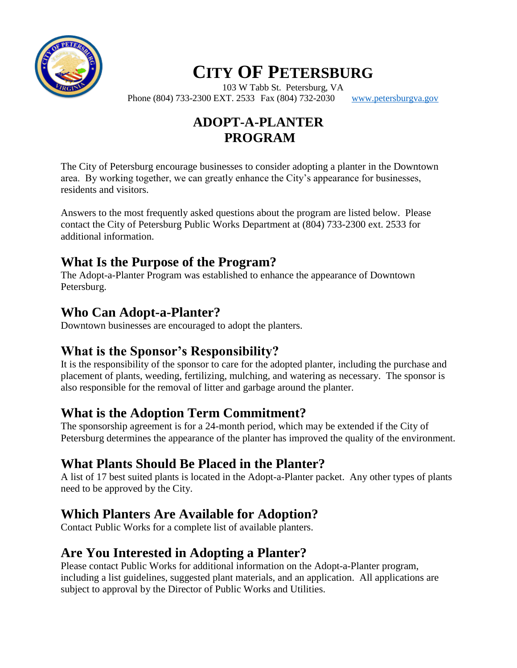

103 W Tabb St. Petersburg, VA Phone (804) 733-2300 EXT. 2533 Fax (804) 732-2030 [www.petersburgva.gov](http://www.petersburgva.gov/)

## **ADOPT-A-PLANTER PROGRAM**

The City of Petersburg encourage businesses to consider adopting a planter in the Downtown area. By working together, we can greatly enhance the City's appearance for businesses, residents and visitors.

Answers to the most frequently asked questions about the program are listed below. Please contact the City of Petersburg Public Works Department at (804) 733-2300 ext. 2533 for additional information.

#### **What Is the Purpose of the Program?**

The Adopt-a-Planter Program was established to enhance the appearance of Downtown Petersburg.

#### **Who Can Adopt-a-Planter?**

Downtown businesses are encouraged to adopt the planters.

### **What is the Sponsor's Responsibility?**

It is the responsibility of the sponsor to care for the adopted planter, including the purchase and placement of plants, weeding, fertilizing, mulching, and watering as necessary. The sponsor is also responsible for the removal of litter and garbage around the planter.

#### **What is the Adoption Term Commitment?**

The sponsorship agreement is for a 24-month period, which may be extended if the City of Petersburg determines the appearance of the planter has improved the quality of the environment.

#### **What Plants Should Be Placed in the Planter?**

A list of 17 best suited plants is located in the Adopt-a-Planter packet. Any other types of plants need to be approved by the City.

### **Which Planters Are Available for Adoption?**

Contact Public Works for a complete list of available planters.

### **Are You Interested in Adopting a Planter?**

Please contact Public Works for additional information on the Adopt-a-Planter program, including a list guidelines, suggested plant materials, and an application. All applications are subject to approval by the Director of Public Works and Utilities.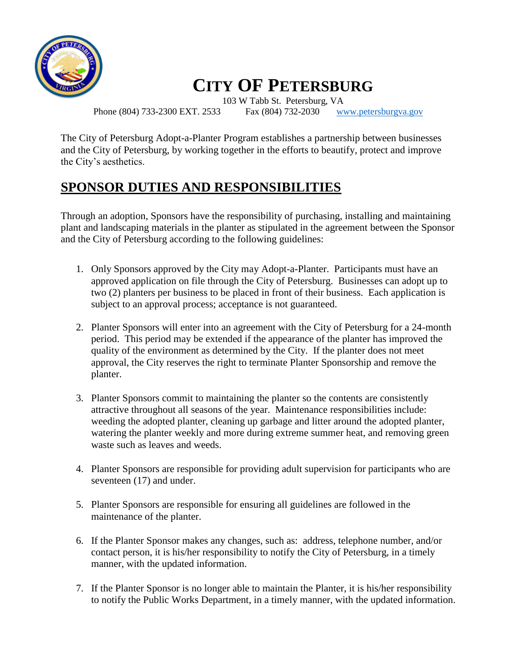

Phone (804) 733-2300 EXT. 2533 Fax (804) 732-2030 [www.petersburgva.gov](http://www.petersburgva.gov/)

103 W Tabb St. Petersburg, VA

The City of Petersburg Adopt-a-Planter Program establishes a partnership between businesses and the City of Petersburg, by working together in the efforts to beautify, protect and improve the City's aesthetics.

### **SPONSOR DUTIES AND RESPONSIBILITIES**

Through an adoption, Sponsors have the responsibility of purchasing, installing and maintaining plant and landscaping materials in the planter as stipulated in the agreement between the Sponsor and the City of Petersburg according to the following guidelines:

- 1. Only Sponsors approved by the City may Adopt-a-Planter. Participants must have an approved application on file through the City of Petersburg. Businesses can adopt up to two (2) planters per business to be placed in front of their business. Each application is subject to an approval process; acceptance is not guaranteed.
- 2. Planter Sponsors will enter into an agreement with the City of Petersburg for a 24-month period. This period may be extended if the appearance of the planter has improved the quality of the environment as determined by the City. If the planter does not meet approval, the City reserves the right to terminate Planter Sponsorship and remove the planter.
- 3. Planter Sponsors commit to maintaining the planter so the contents are consistently attractive throughout all seasons of the year. Maintenance responsibilities include: weeding the adopted planter, cleaning up garbage and litter around the adopted planter, watering the planter weekly and more during extreme summer heat, and removing green waste such as leaves and weeds.
- 4. Planter Sponsors are responsible for providing adult supervision for participants who are seventeen (17) and under.
- 5. Planter Sponsors are responsible for ensuring all guidelines are followed in the maintenance of the planter.
- 6. If the Planter Sponsor makes any changes, such as: address, telephone number, and/or contact person, it is his/her responsibility to notify the City of Petersburg, in a timely manner, with the updated information.
- 7. If the Planter Sponsor is no longer able to maintain the Planter, it is his/her responsibility to notify the Public Works Department, in a timely manner, with the updated information.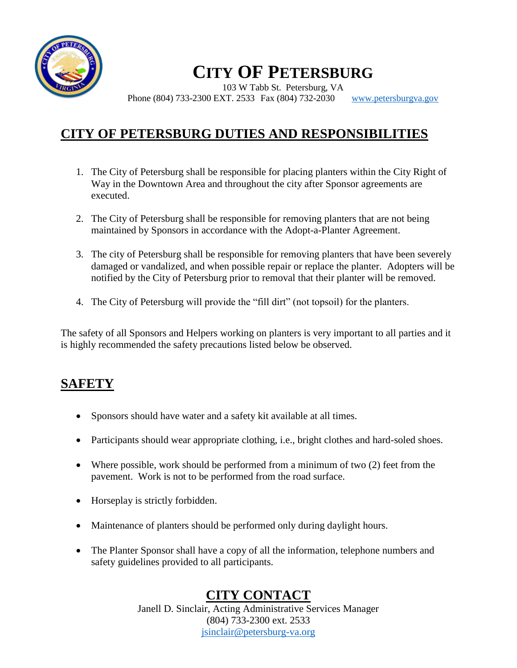

103 W Tabb St. Petersburg, VA Phone (804) 733-2300 EXT. 2533 Fax (804) 732-2030 [www.petersburgva.gov](http://www.petersburgva.gov/)

### **CITY OF PETERSBURG DUTIES AND RESPONSIBILITIES**

- 1. The City of Petersburg shall be responsible for placing planters within the City Right of Way in the Downtown Area and throughout the city after Sponsor agreements are executed.
- 2. The City of Petersburg shall be responsible for removing planters that are not being maintained by Sponsors in accordance with the Adopt-a-Planter Agreement.
- 3. The city of Petersburg shall be responsible for removing planters that have been severely damaged or vandalized, and when possible repair or replace the planter. Adopters will be notified by the City of Petersburg prior to removal that their planter will be removed.
- 4. The City of Petersburg will provide the "fill dirt" (not topsoil) for the planters.

The safety of all Sponsors and Helpers working on planters is very important to all parties and it is highly recommended the safety precautions listed below be observed.

#### **SAFETY**

- Sponsors should have water and a safety kit available at all times.
- Participants should wear appropriate clothing, i.e., bright clothes and hard-soled shoes.
- Where possible, work should be performed from a minimum of two (2) feet from the pavement. Work is not to be performed from the road surface.
- Horseplay is strictly forbidden.
- Maintenance of planters should be performed only during daylight hours.
- The Planter Sponsor shall have a copy of all the information, telephone numbers and safety guidelines provided to all participants.

#### **CITY CONTACT**

Janell D. Sinclair, Acting Administrative Services Manager (804) 733-2300 ext. 2533 [jsinclair@petersburg-va.org](mailto:jsinclair@petersburg-va.org)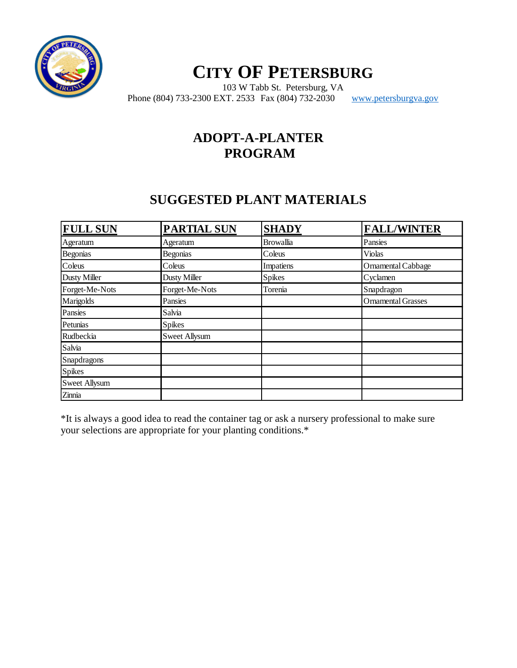

103 W Tabb St. Petersburg, VA Phone (804) 733-2300 EXT. 2533 Fax (804) 732-2030 [www.petersburgva.gov](http://www.petersburgva.gov/)

#### **ADOPT-A-PLANTER PROGRAM**

#### **SUGGESTED PLANT MATERIALS**

| <b>FULL SUN</b>      | <b>PARTIAL SUN</b>   | <b>SHADY</b>     | <b>FALL/WINTER</b>        |
|----------------------|----------------------|------------------|---------------------------|
| Ageratum             | Ageratum             | <b>Browallia</b> | Pansies                   |
| <b>Begonias</b>      | Begonias             | Coleus           | Violas                    |
| Coleus               | Coleus               | Impatiens        | Ornamental Cabbage        |
| <b>Dusty Miller</b>  | <b>Dusty Miller</b>  | <b>Spikes</b>    | Cyclamen                  |
| Forget-Me-Nots       | Forget-Me-Nots       | Torenia          | Snapdragon                |
| Marigolds            | Pansies              |                  | <b>Ornamental Grasses</b> |
| Pansies              | Salvia               |                  |                           |
| Petunias             | <b>Spikes</b>        |                  |                           |
| Rudbeckia            | <b>Sweet Allysum</b> |                  |                           |
| Salvia               |                      |                  |                           |
| Snapdragons          |                      |                  |                           |
| <b>Spikes</b>        |                      |                  |                           |
| <b>Sweet Allysum</b> |                      |                  |                           |
| Zinnia               |                      |                  |                           |

\*It is always a good idea to read the container tag or ask a nursery professional to make sure your selections are appropriate for your planting conditions.\*